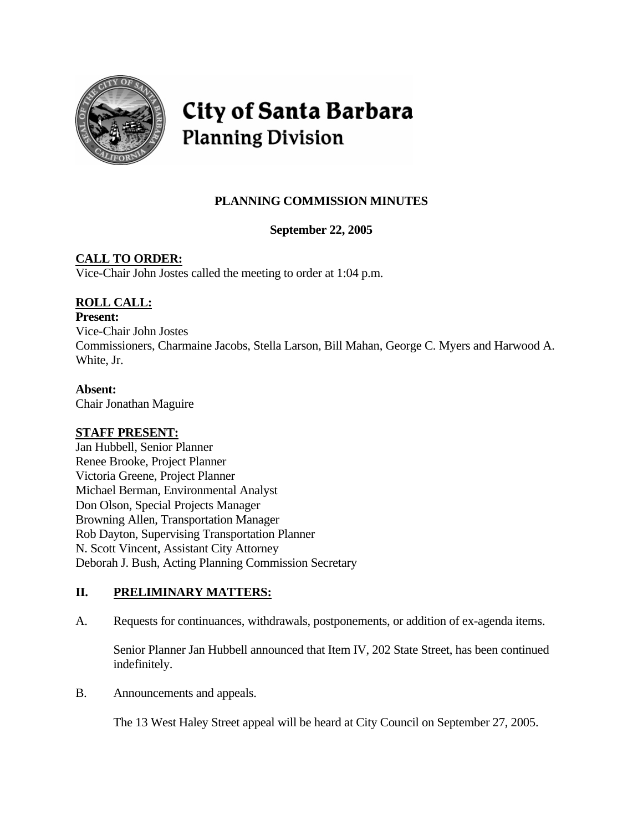

# **City of Santa Barbara Planning Division**

# **PLANNING COMMISSION MINUTES**

### **September 22, 2005**

# **CALL TO ORDER:**

Vice-Chair John Jostes called the meeting to order at 1:04 p.m.

# **ROLL CALL:**

#### **Present:**

Vice-Chair John Jostes Commissioners, Charmaine Jacobs, Stella Larson, Bill Mahan, George C. Myers and Harwood A. White, Jr.

#### **Absent:**

Chair Jonathan Maguire

#### **STAFF PRESENT:**

Jan Hubbell, Senior Planner Renee Brooke, Project Planner Victoria Greene, Project Planner Michael Berman, Environmental Analyst Don Olson, Special Projects Manager Browning Allen, Transportation Manager Rob Dayton, Supervising Transportation Planner N. Scott Vincent, Assistant City Attorney Deborah J. Bush, Acting Planning Commission Secretary

## **II. PRELIMINARY MATTERS:**

A. Requests for continuances, withdrawals, postponements, or addition of ex-agenda items.

 Senior Planner Jan Hubbell announced that Item IV, 202 State Street, has been continued indefinitely.

B. Announcements and appeals.

The 13 West Haley Street appeal will be heard at City Council on September 27, 2005.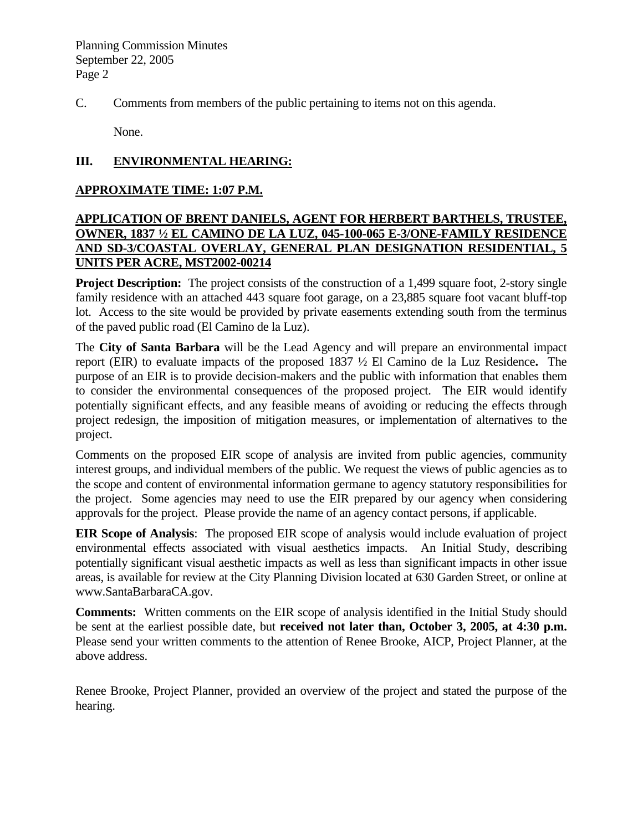C. Comments from members of the public pertaining to items not on this agenda.

None.

#### **III. ENVIRONMENTAL HEARING:**

#### **APPROXIMATE TIME: 1:07 P.M.**

#### **APPLICATION OF BRENT DANIELS, AGENT FOR HERBERT BARTHELS, TRUSTEE, OWNER, 1837 ½ EL CAMINO DE LA LUZ, 045-100-065 E-3/ONE-FAMILY RESIDENCE AND SD-3/COASTAL OVERLAY, GENERAL PLAN DESIGNATION RESIDENTIAL, 5 UNITS PER ACRE, MST2002-00214**

**Project Description:** The project consists of the construction of a 1,499 square foot, 2-story single family residence with an attached 443 square foot garage, on a 23,885 square foot vacant bluff-top lot. Access to the site would be provided by private easements extending south from the terminus of the paved public road (El Camino de la Luz).

The **City of Santa Barbara** will be the Lead Agency and will prepare an environmental impact report (EIR) to evaluate impacts of the proposed 1837 ½ El Camino de la Luz Residence**.** The purpose of an EIR is to provide decision-makers and the public with information that enables them to consider the environmental consequences of the proposed project. The EIR would identify potentially significant effects, and any feasible means of avoiding or reducing the effects through project redesign, the imposition of mitigation measures, or implementation of alternatives to the project.

Comments on the proposed EIR scope of analysis are invited from public agencies, community interest groups, and individual members of the public. We request the views of public agencies as to the scope and content of environmental information germane to agency statutory responsibilities for the project. Some agencies may need to use the EIR prepared by our agency when considering approvals for the project. Please provide the name of an agency contact persons, if applicable.

**EIR Scope of Analysis**: The proposed EIR scope of analysis would include evaluation of project environmental effects associated with visual aesthetics impacts. An Initial Study, describing potentially significant visual aesthetic impacts as well as less than significant impacts in other issue areas, is available for review at the City Planning Division located at 630 Garden Street, or online at [www.SantaBarbaraCA.gov.](http://www.santabarbaraca.gov/)

**Comments:** Written comments on the EIR scope of analysis identified in the Initial Study should be sent at the earliest possible date, but **received not later than, October 3, 2005, at 4:30 p.m.** Please send your written comments to the attention of Renee Brooke, AICP, Project Planner, at the above address.

Renee Brooke, Project Planner, provided an overview of the project and stated the purpose of the hearing.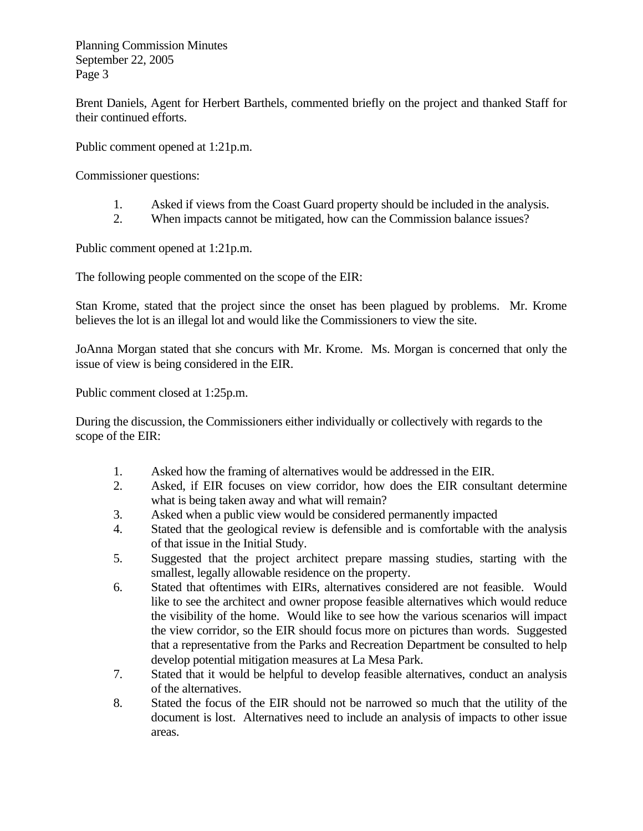Brent Daniels, Agent for Herbert Barthels, commented briefly on the project and thanked Staff for their continued efforts.

Public comment opened at 1:21p.m.

Commissioner questions:

- 1. Asked if views from the Coast Guard property should be included in the analysis.
- 2. When impacts cannot be mitigated, how can the Commission balance issues?

Public comment opened at 1:21p.m.

The following people commented on the scope of the EIR:

Stan Krome, stated that the project since the onset has been plagued by problems. Mr. Krome believes the lot is an illegal lot and would like the Commissioners to view the site.

JoAnna Morgan stated that she concurs with Mr. Krome. Ms. Morgan is concerned that only the issue of view is being considered in the EIR.

Public comment closed at 1:25p.m.

During the discussion, the Commissioners either individually or collectively with regards to the scope of the EIR:

- 1. Asked how the framing of alternatives would be addressed in the EIR.
- 2. Asked, if EIR focuses on view corridor, how does the EIR consultant determine what is being taken away and what will remain?
- 3. Asked when a public view would be considered permanently impacted
- 4. Stated that the geological review is defensible and is comfortable with the analysis of that issue in the Initial Study.
- 5. Suggested that the project architect prepare massing studies, starting with the smallest, legally allowable residence on the property.
- 6. Stated that oftentimes with EIRs, alternatives considered are not feasible. Would like to see the architect and owner propose feasible alternatives which would reduce the visibility of the home. Would like to see how the various scenarios will impact the view corridor, so the EIR should focus more on pictures than words. Suggested that a representative from the Parks and Recreation Department be consulted to help develop potential mitigation measures at La Mesa Park.
- 7. Stated that it would be helpful to develop feasible alternatives, conduct an analysis of the alternatives.
- 8. Stated the focus of the EIR should not be narrowed so much that the utility of the document is lost. Alternatives need to include an analysis of impacts to other issue areas.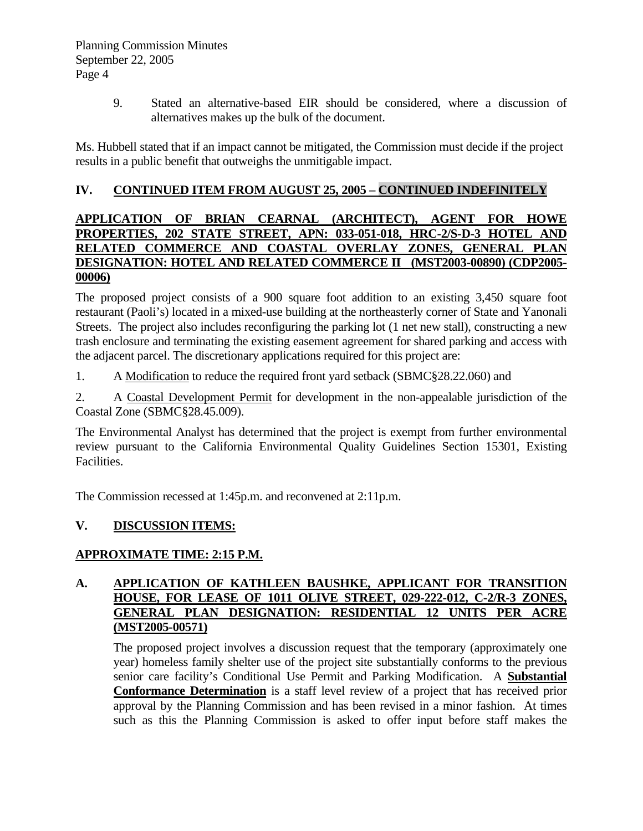9. Stated an alternative-based EIR should be considered, where a discussion of alternatives makes up the bulk of the document.

Ms. Hubbell stated that if an impact cannot be mitigated, the Commission must decide if the project results in a public benefit that outweighs the unmitigable impact.

#### **IV. CONTINUED ITEM FROM AUGUST 25, 2005 – CONTINUED INDEFINITELY**

#### **APPLICATION OF BRIAN CEARNAL (ARCHITECT), AGENT FOR HOWE PROPERTIES, 202 STATE STREET, APN: 033-051-018, HRC-2/S-D-3 HOTEL AND RELATED COMMERCE AND COASTAL OVERLAY ZONES, GENERAL PLAN DESIGNATION: HOTEL AND RELATED COMMERCE II (MST2003-00890) (CDP2005- 00006)**

The proposed project consists of a 900 square foot addition to an existing 3,450 square foot restaurant (Paoli's) located in a mixed-use building at the northeasterly corner of State and Yanonali Streets. The project also includes reconfiguring the parking lot (1 net new stall), constructing a new trash enclosure and terminating the existing easement agreement for shared parking and access with the adjacent parcel. The discretionary applications required for this project are:

1. A Modification to reduce the required front yard setback (SBMC§28.22.060) and

2. A Coastal Development Permit for development in the non-appealable jurisdiction of the Coastal Zone (SBMC§28.45.009).

The Environmental Analyst has determined that the project is exempt from further environmental review pursuant to the California Environmental Quality Guidelines Section 15301, Existing Facilities.

The Commission recessed at 1:45p.m. and reconvened at 2:11p.m.

## **V. DISCUSSION ITEMS:**

## **APPROXIMATE TIME: 2:15 P.M.**

#### **A. APPLICATION OF KATHLEEN BAUSHKE, APPLICANT FOR TRANSITION HOUSE, FOR LEASE OF 1011 OLIVE STREET, 029-222-012, C-2/R-3 ZONES, GENERAL PLAN DESIGNATION: RESIDENTIAL 12 UNITS PER ACRE (MST2005-00571)**

The proposed project involves a discussion request that the temporary (approximately one year) homeless family shelter use of the project site substantially conforms to the previous senior care facility's Conditional Use Permit and Parking Modification. A **Substantial Conformance Determination** is a staff level review of a project that has received prior approval by the Planning Commission and has been revised in a minor fashion. At times such as this the Planning Commission is asked to offer input before staff makes the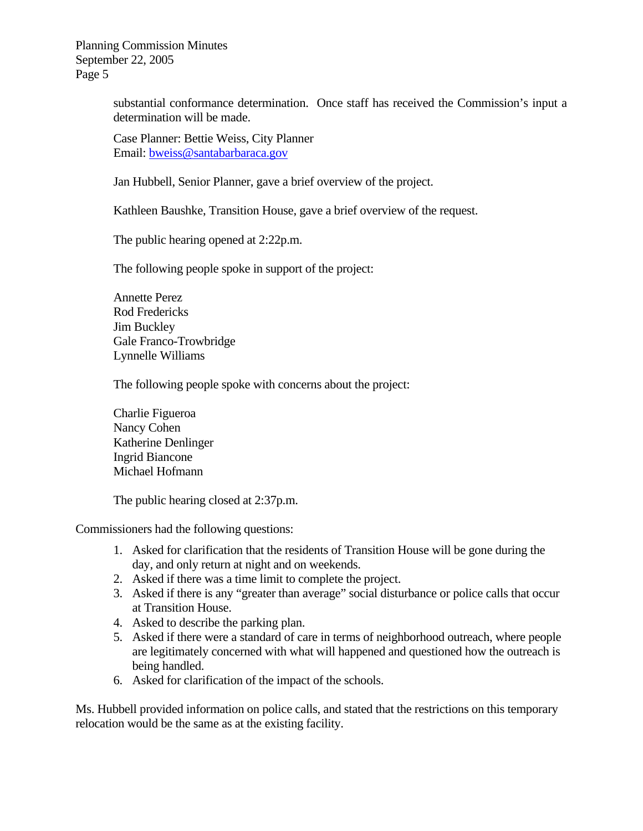> substantial conformance determination. Once staff has received the Commission's input a determination will be made.

Case Planner: Bettie Weiss, City Planner Email: [bweiss@santabarbaraca.gov](mailto:bweiss@santabarbaraca.gov)

Jan Hubbell, Senior Planner, gave a brief overview of the project.

Kathleen Baushke, Transition House, gave a brief overview of the request.

The public hearing opened at 2:22p.m.

The following people spoke in support of the project:

Annette Perez Rod Fredericks Jim Buckley Gale Franco-Trowbridge Lynnelle Williams

The following people spoke with concerns about the project:

Charlie Figueroa Nancy Cohen Katherine Denlinger Ingrid Biancone Michael Hofmann

The public hearing closed at 2:37p.m.

Commissioners had the following questions:

- 1. Asked for clarification that the residents of Transition House will be gone during the day, and only return at night and on weekends.
- 2. Asked if there was a time limit to complete the project.
- 3. Asked if there is any "greater than average" social disturbance or police calls that occur at Transition House.
- 4. Asked to describe the parking plan.
- 5. Asked if there were a standard of care in terms of neighborhood outreach, where people are legitimately concerned with what will happened and questioned how the outreach is being handled.
- 6. Asked for clarification of the impact of the schools.

Ms. Hubbell provided information on police calls, and stated that the restrictions on this temporary relocation would be the same as at the existing facility.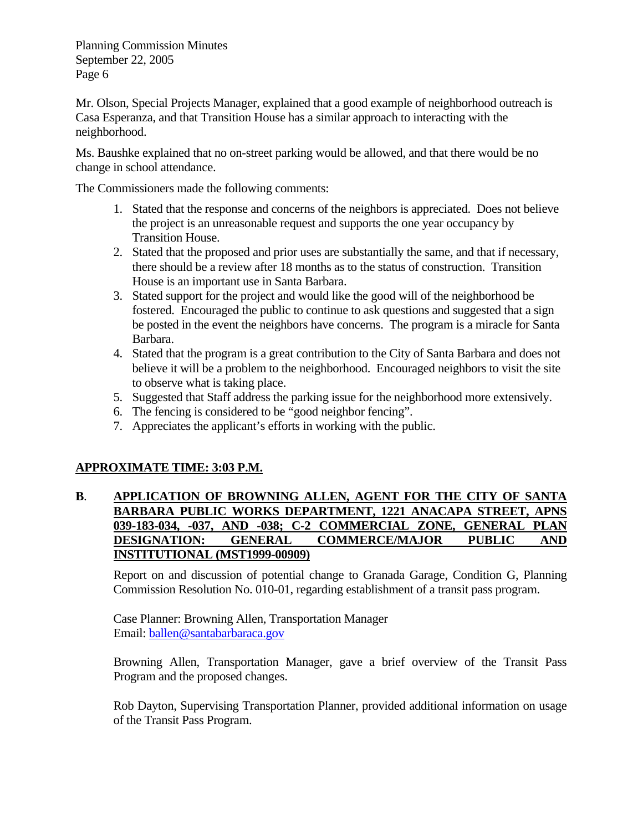Mr. Olson, Special Projects Manager, explained that a good example of neighborhood outreach is Casa Esperanza, and that Transition House has a similar approach to interacting with the neighborhood.

Ms. Baushke explained that no on-street parking would be allowed, and that there would be no change in school attendance.

The Commissioners made the following comments:

- 1. Stated that the response and concerns of the neighbors is appreciated. Does not believe the project is an unreasonable request and supports the one year occupancy by Transition House.
- 2. Stated that the proposed and prior uses are substantially the same, and that if necessary, there should be a review after 18 months as to the status of construction. Transition House is an important use in Santa Barbara.
- 3. Stated support for the project and would like the good will of the neighborhood be fostered. Encouraged the public to continue to ask questions and suggested that a sign be posted in the event the neighbors have concerns. The program is a miracle for Santa Barbara.
- 4. Stated that the program is a great contribution to the City of Santa Barbara and does not believe it will be a problem to the neighborhood. Encouraged neighbors to visit the site to observe what is taking place.
- 5. Suggested that Staff address the parking issue for the neighborhood more extensively.
- 6. The fencing is considered to be "good neighbor fencing".
- 7. Appreciates the applicant's efforts in working with the public.

#### **APPROXIMATE TIME: 3:03 P.M.**

#### **B**. **APPLICATION OF BROWNING ALLEN, AGENT FOR THE CITY OF SANTA BARBARA PUBLIC WORKS DEPARTMENT, 1221 ANACAPA STREET, APNS 039-183-034, -037, AND -038; C-2 COMMERCIAL ZONE, GENERAL PLAN DESIGNATION: GENERAL COMMERCE/MAJOR PUBLIC AND INSTITUTIONAL (MST1999-00909)**

Report on and discussion of potential change to Granada Garage, Condition G, Planning Commission Resolution No. 010-01, regarding establishment of a transit pass program.

Case Planner: Browning Allen, Transportation Manager Email: [ballen@santabarbaraca.gov](mailto:ballen@santabarbaraca.gov)

Browning Allen, Transportation Manager, gave a brief overview of the Transit Pass Program and the proposed changes.

Rob Dayton, Supervising Transportation Planner, provided additional information on usage of the Transit Pass Program.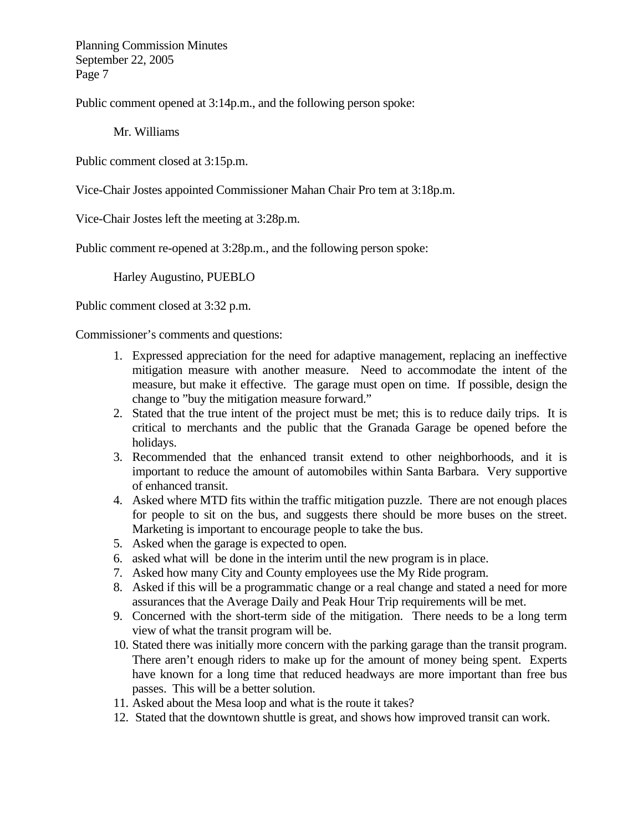Public comment opened at 3:14p.m., and the following person spoke:

Mr. Williams

Public comment closed at 3:15p.m.

Vice-Chair Jostes appointed Commissioner Mahan Chair Pro tem at 3:18p.m.

Vice-Chair Jostes left the meeting at 3:28p.m.

Public comment re-opened at 3:28p.m., and the following person spoke:

Harley Augustino, PUEBLO

Public comment closed at 3:32 p.m.

Commissioner's comments and questions:

- 1. Expressed appreciation for the need for adaptive management, replacing an ineffective mitigation measure with another measure. Need to accommodate the intent of the measure, but make it effective. The garage must open on time. If possible, design the change to "buy the mitigation measure forward."
- 2. Stated that the true intent of the project must be met; this is to reduce daily trips. It is critical to merchants and the public that the Granada Garage be opened before the holidays.
- 3. Recommended that the enhanced transit extend to other neighborhoods, and it is important to reduce the amount of automobiles within Santa Barbara. Very supportive of enhanced transit.
- 4. Asked where MTD fits within the traffic mitigation puzzle. There are not enough places for people to sit on the bus, and suggests there should be more buses on the street. Marketing is important to encourage people to take the bus.
- 5. Asked when the garage is expected to open.
- 6. asked what will be done in the interim until the new program is in place.
- 7. Asked how many City and County employees use the My Ride program.
- 8. Asked if this will be a programmatic change or a real change and stated a need for more assurances that the Average Daily and Peak Hour Trip requirements will be met.
- 9. Concerned with the short-term side of the mitigation. There needs to be a long term view of what the transit program will be.
- 10. Stated there was initially more concern with the parking garage than the transit program. There aren't enough riders to make up for the amount of money being spent. Experts have known for a long time that reduced headways are more important than free bus passes. This will be a better solution.
- 11. Asked about the Mesa loop and what is the route it takes?
- 12. Stated that the downtown shuttle is great, and shows how improved transit can work.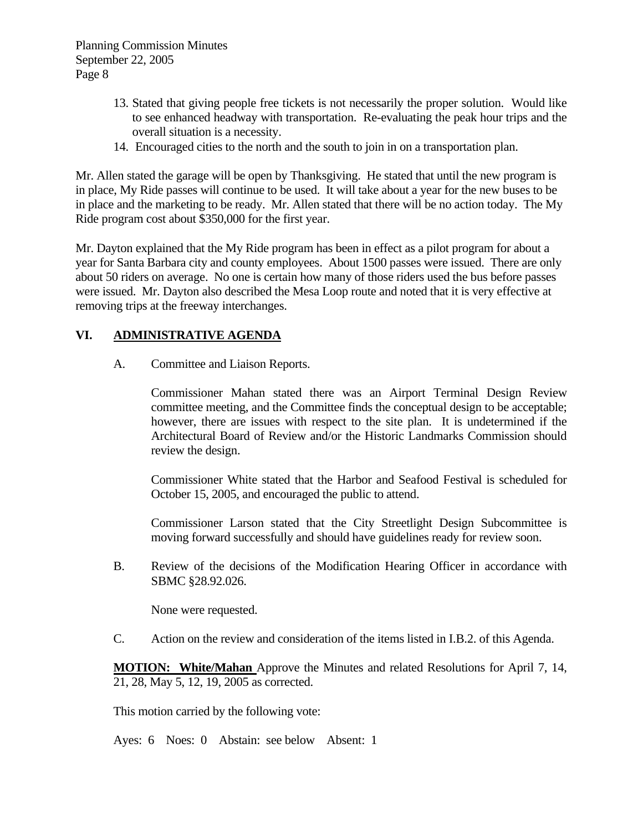- 13. Stated that giving people free tickets is not necessarily the proper solution. Would like to see enhanced headway with transportation. Re-evaluating the peak hour trips and the overall situation is a necessity.
- 14. Encouraged cities to the north and the south to join in on a transportation plan.

Mr. Allen stated the garage will be open by Thanksgiving. He stated that until the new program is in place, My Ride passes will continue to be used. It will take about a year for the new buses to be in place and the marketing to be ready. Mr. Allen stated that there will be no action today. The My Ride program cost about \$350,000 for the first year.

Mr. Dayton explained that the My Ride program has been in effect as a pilot program for about a year for Santa Barbara city and county employees. About 1500 passes were issued. There are only about 50 riders on average. No one is certain how many of those riders used the bus before passes were issued. Mr. Dayton also described the Mesa Loop route and noted that it is very effective at removing trips at the freeway interchanges.

#### **VI. ADMINISTRATIVE AGENDA**

A. Committee and Liaison Reports.

 Commissioner Mahan stated there was an Airport Terminal Design Review committee meeting, and the Committee finds the conceptual design to be acceptable; however, there are issues with respect to the site plan. It is undetermined if the Architectural Board of Review and/or the Historic Landmarks Commission should review the design.

 Commissioner White stated that the Harbor and Seafood Festival is scheduled for October 15, 2005, and encouraged the public to attend.

 Commissioner Larson stated that the City Streetlight Design Subcommittee is moving forward successfully and should have guidelines ready for review soon.

B. Review of the decisions of the Modification Hearing Officer in accordance with SBMC §28.92.026.

None were requested.

C. Action on the review and consideration of the items listed in I.B.2. of this Agenda.

**MOTION: White/Mahan** Approve the Minutes and related Resolutions for April 7, 14, 21, 28, May 5, 12, 19, 2005 as corrected.

This motion carried by the following vote:

Ayes: 6 Noes: 0 Abstain: see below Absent: 1